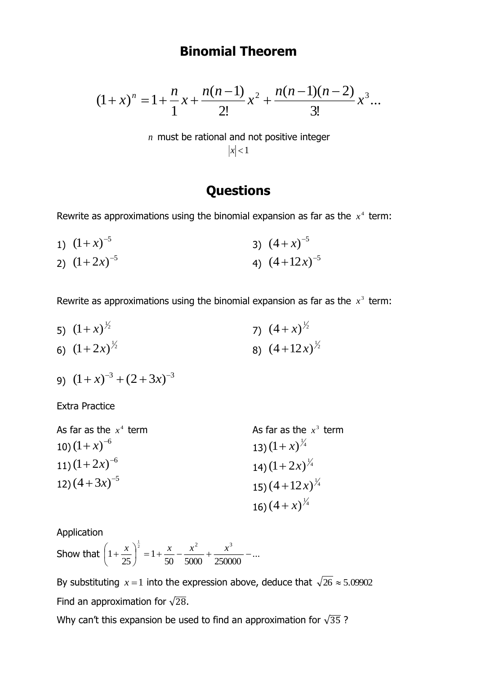## **Binomial Theorem**

$$
(1+x)^n = 1 + \frac{n}{1}x + \frac{n(n-1)}{2!}x^2 + \frac{n(n-1)(n-2)}{3!}x^3...
$$

*n* must be rational and not positive integer  $|x|$  < 1

## **Questions**

Rewrite as approximations using the binomial expansion as far as the  $x^4$  term:

1)  $(1+x)^{-5}$ 2)  $(1+2x)^{-5}$ 3)  $(4+x)^{-5}$ 4)  $(4+12x)^{-5}$ 

Rewrite as approximations using the binomial expansion as far as the  $x^3$  term:

5)  $(1+x)^{\frac{1}{2}}$ 6)  $(1+2x)^{\frac{1}{2}}$ 7)  $(4+x)^{\frac{1}{2}}$ 8)  $(4+12x)^{\frac{1}{2}}$ 

9) 
$$
(1+x)^{-3} + (2+3x)^{-3}
$$

Extra Practice

| As far as the $x^4$ term | As far as the $x^3$ term    |
|--------------------------|-----------------------------|
| 10) $(1+x)^{-6}$         | 13) $(1+x)^{\frac{1}{4}}$   |
| 11) $(1+2x)^{-6}$        | 14) $(1+2x)^{\frac{1}{4}}$  |
| 12) $(4+3x)^{-5}$        | 15) $(4+12x)^{\frac{1}{4}}$ |
|                          | 16) $(4+x)^{\frac{1}{4}}$   |

Application

Show that  $\left(1+\frac{\pi}{25}\right)$  =  $1+\frac{\pi}{50} - \frac{\pi}{5000} + \frac{\pi}{250000} - ...$ 1 25 1  $\frac{1}{2}$   $\frac{1}{2}$   $\frac{1}{3}$  $= 1 + \frac{\lambda}{\pi} - \frac{\lambda}{\pi} + \frac{\lambda}{\pi}$ J  $\left(1+\frac{x}{\sqrt{2}}\right)$ L  $\left(1+\frac{x}{x}\right)^{\frac{1}{2}} = 1+\frac{x}{x}-\frac{x^2}{x^2}+\frac{x^3}{x^3}$ 

By substituting  $x = 1$  into the expression above, deduce that  $\sqrt{26} \approx 5.09902$ Find an approximation for  $\sqrt{28}$ .

Why can't this expansion be used to find an approximation for  $\sqrt{35}$  ?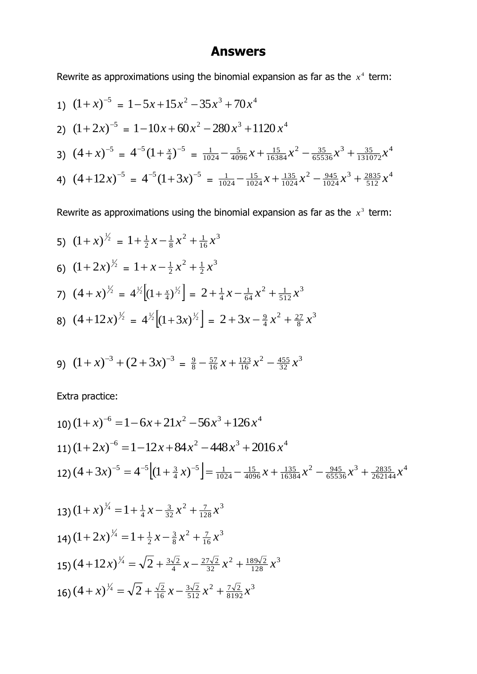## **Answers**

Rewrite as approximations using the binomial expansion as far as the  $x^4$  term:

1) 
$$
(1+x)^{-5} = 1 - 5x + 15x^2 - 35x^3 + 70x^4
$$
  
\n2)  $(1+2x)^{-5} = 1 - 10x + 60x^2 - 280x^3 + 1120x^4$   
\n3)  $(4+x)^{-5} = 4^{-5}(1+\frac{x}{4})^{-5} = \frac{1}{1024} - \frac{5}{4096}x + \frac{15}{16384}x^2 - \frac{35}{65536}x^3 + \frac{35}{131072}x^4$   
\n4)  $(4+12x)^{-5} = 4^{-5}(1+3x)^{-5} = \frac{1}{1024} - \frac{15}{1024}x + \frac{135}{1024}x^2 - \frac{945}{1024}x^3 + \frac{2835}{512}x^4$ 

Rewrite as approximations using the binomial expansion as far as the  $x^3$  term:

5) 
$$
(1+x)^{\frac{1}{2}} = 1 + \frac{1}{2}x - \frac{1}{8}x^2 + \frac{1}{16}x^3
$$
  
\n6)  $(1+2x)^{\frac{1}{2}} = 1 + x - \frac{1}{2}x^2 + \frac{1}{2}x^3$   
\n7)  $(4+x)^{\frac{1}{2}} = 4^{\frac{1}{2}}[(1+\frac{x}{4})^{\frac{1}{2}}] = 2 + \frac{1}{4}x - \frac{1}{64}x^2 + \frac{1}{512}x^3$   
\n8)  $(4+12x)^{\frac{1}{2}} = 4^{\frac{1}{2}}[(1+3x)^{\frac{1}{2}}] = 2 + 3x - \frac{9}{4}x^2 + \frac{27}{8}x^3$ 

9) 
$$
(1+x)^{-3} + (2+3x)^{-3} = \frac{9}{8} - \frac{57}{16}x + \frac{123}{16}x^2 - \frac{455}{32}x^3
$$

Extra practice:

10) 
$$
(1+x)^{-6} = 1 - 6x + 21x^{2} - 56x^{3} + 126x^{4}
$$
  
\n11)  $(1+2x)^{-6} = 1-12x+84x^{2}-448x^{3}+2016x^{4}$   
\n12)  $(4+3x)^{-5} = 4^{-5}[(1+\frac{3}{4}x)^{-5}] = \frac{1}{1024} - \frac{15}{4096}x + \frac{135}{16384}x^{2} - \frac{945}{65536}x^{3} + \frac{2835}{262144}x^{4}$   
\n13)  $(1+x)^{\frac{1}{4}} = 1 + \frac{1}{4}x - \frac{3}{32}x^{2} + \frac{7}{128}x^{3}$   
\n14)  $(1+2x)^{\frac{1}{4}} = 1 + \frac{1}{2}x - \frac{3}{8}x^{2} + \frac{7}{16}x^{3}$   
\n15)  $(4+12x)^{\frac{1}{4}} = \sqrt{2} + \frac{3\sqrt{2}}{4}x - \frac{27\sqrt{2}}{32}x^{2} + \frac{189\sqrt{2}}{128}x^{3}$   
\n16)  $(4+x)^{\frac{1}{4}} = \sqrt{2} + \frac{\sqrt{2}}{16}x - \frac{3\sqrt{2}}{512}x^{2} + \frac{7\sqrt{2}}{8192}x^{3}$ 

6